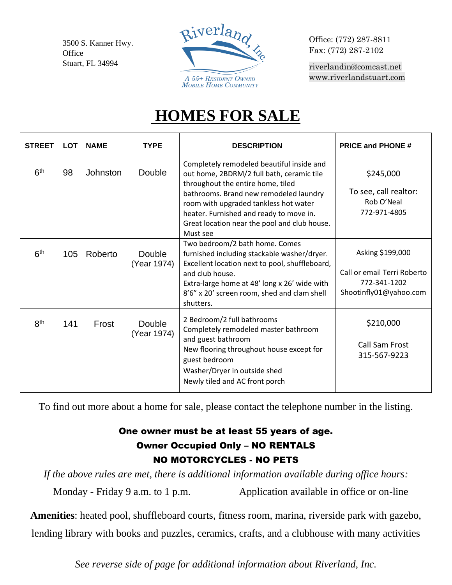3500 S. Kanner Hwy. **Office** Stuart, FL 34994



Office: (772) 287-8811 Fax: (772) 287-2102

[riverlandin@comcast.net](mailto:riverlandin@comcast.net) [www.riverlandstuart.com](http://www.riverlandstuart.com/)

## **HOMES FOR SALE**

| <b>STREET</b>   | <b>LOT</b> | <b>NAME</b>     | <b>TYPE</b>                  | <b>DESCRIPTION</b>                                                                                                                                                                                                                                                                                                    | <b>PRICE and PHONE #</b>                                                                  |
|-----------------|------------|-----------------|------------------------------|-----------------------------------------------------------------------------------------------------------------------------------------------------------------------------------------------------------------------------------------------------------------------------------------------------------------------|-------------------------------------------------------------------------------------------|
| 6 <sup>th</sup> | 98         | <b>Johnston</b> | Double                       | Completely remodeled beautiful inside and<br>out home, 2BDRM/2 full bath, ceramic tile<br>throughout the entire home, tiled<br>bathrooms. Brand new remodeled laundry<br>room with upgraded tankless hot water<br>heater. Furnished and ready to move in.<br>Great location near the pool and club house.<br>Must see | \$245,000<br>To see, call realtor:<br>Rob O'Neal<br>772-971-4805                          |
| 6 <sup>th</sup> | 105        | Roberto         | Double<br>(Year 1974)        | Two bedroom/2 bath home. Comes<br>furnished including stackable washer/dryer.<br>Excellent location next to pool, shuffleboard,<br>and club house.<br>Extra-large home at 48' long x 26' wide with<br>8'6" x 20' screen room, shed and clam shell<br>shutters.                                                        | Asking \$199,000<br>Call or email Terri Roberto<br>772-341-1202<br>Shootinfly01@yahoo.com |
| 8 <sup>th</sup> | 141        | Frost           | <b>Double</b><br>(Year 1974) | 2 Bedroom/2 full bathrooms<br>Completely remodeled master bathroom<br>and guest bathroom<br>New flooring throughout house except for<br>guest bedroom<br>Washer/Dryer in outside shed<br>Newly tiled and AC front porch                                                                                               | \$210,000<br><b>Call Sam Frost</b><br>315-567-9223                                        |

To find out more about a home for sale, please contact the telephone number in the listing.

## One owner must be at least 55 years of age. Owner Occupied Only – NO RENTALS NO MOTORCYCLES - NO PETS

*If the above rules are met, there is additional information available during office hours:* Monday - Friday 9 a.m. to 1 p.m. Application available in office or on-line

**Amenities**: heated pool, shuffleboard courts, fitness room, marina, riverside park with gazebo, lending library with books and puzzles, ceramics, crafts, and a clubhouse with many activities

*See reverse side of page for additional information about Riverland, Inc.*